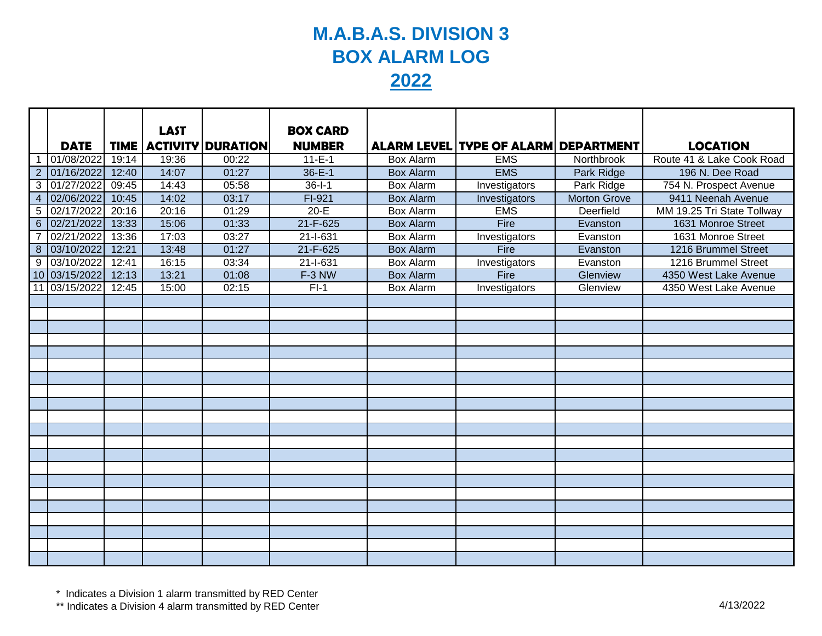## **M.A.B.A.S. DIVISION 3 BOX ALARM LOG 2022**

|                  |               |       | <b>LAST</b> |                            | <b>BOX CARD</b> |                  |                                             |                     |                            |
|------------------|---------------|-------|-------------|----------------------------|-----------------|------------------|---------------------------------------------|---------------------|----------------------------|
|                  | <b>DATE</b>   |       |             | TIME   ACTIVITY   DURATION | <b>NUMBER</b>   |                  | <b>ALARM LEVEL TYPE OF ALARM DEPARTMENT</b> |                     | <b>LOCATION</b>            |
|                  | 01/08/2022    | 19:14 | 19:36       | 00:22                      | $11 - E - 1$    | <b>Box Alarm</b> | <b>EMS</b>                                  | Northbrook          | Route 41 & Lake Cook Road  |
|                  | 2 01/16/2022  | 12:40 | 14:07       | 01:27                      | $36 - E - 1$    | <b>Box Alarm</b> | <b>EMS</b>                                  | Park Ridge          | 196 N. Dee Road            |
|                  | 3 01/27/2022  | 09:45 | 14:43       | 05:58                      | $36 - 1 - 1$    | Box Alarm        | Investigators                               | Park Ridge          | 754 N. Prospect Avenue     |
| $\overline{4}$   | 02/06/2022    | 10:45 | 14:02       | 03:17                      | $FI-921$        | <b>Box Alarm</b> | Investigators                               | <b>Morton Grove</b> | 9411 Neenah Avenue         |
| 5                | 02/17/2022    | 20:16 | 20:16       | 01:29                      | $20-E$          | Box Alarm        | <b>EMS</b>                                  | Deerfield           | MM 19.25 Tri State Tollway |
| $6\phantom{1}$   | 02/21/2022    | 13:33 | 15:06       | 01:33                      | $21 - F - 625$  | <b>Box Alarm</b> | Fire                                        | Evanston            | 1631 Monroe Street         |
| $\overline{7}$   | 02/21/2022    | 13:36 | 17:03       | 03:27                      | 21-I-631        | <b>Box Alarm</b> | Investigators                               | Evanston            | 1631 Monroe Street         |
| $\boldsymbol{8}$ | 03/10/2022    | 12:21 | 13:48       | 01:27                      | 21-F-625        | <b>Box Alarm</b> | Fire                                        | Evanston            | 1216 Brummel Street        |
| 9                | 03/10/2022    | 12:41 | 16:15       | 03:34                      | $21 - 631$      | Box Alarm        | Investigators                               | Evanston            | 1216 Brummel Street        |
|                  | 10 03/15/2022 | 12:13 | 13:21       | 01:08                      | F-3 NW          | <b>Box Alarm</b> | <b>Fire</b>                                 | Glenview            | 4350 West Lake Avenue      |
| 11               | 03/15/2022    | 12:45 | 15:00       | 02:15                      | $FI-1$          | <b>Box Alarm</b> | Investigators                               | Glenview            | 4350 West Lake Avenue      |
|                  |               |       |             |                            |                 |                  |                                             |                     |                            |
|                  |               |       |             |                            |                 |                  |                                             |                     |                            |
|                  |               |       |             |                            |                 |                  |                                             |                     |                            |
|                  |               |       |             |                            |                 |                  |                                             |                     |                            |
|                  |               |       |             |                            |                 |                  |                                             |                     |                            |
|                  |               |       |             |                            |                 |                  |                                             |                     |                            |
|                  |               |       |             |                            |                 |                  |                                             |                     |                            |
|                  |               |       |             |                            |                 |                  |                                             |                     |                            |
|                  |               |       |             |                            |                 |                  |                                             |                     |                            |
|                  |               |       |             |                            |                 |                  |                                             |                     |                            |
|                  |               |       |             |                            |                 |                  |                                             |                     |                            |
|                  |               |       |             |                            |                 |                  |                                             |                     |                            |
|                  |               |       |             |                            |                 |                  |                                             |                     |                            |
|                  |               |       |             |                            |                 |                  |                                             |                     |                            |
|                  |               |       |             |                            |                 |                  |                                             |                     |                            |
|                  |               |       |             |                            |                 |                  |                                             |                     |                            |
|                  |               |       |             |                            |                 |                  |                                             |                     |                            |
|                  |               |       |             |                            |                 |                  |                                             |                     |                            |
|                  |               |       |             |                            |                 |                  |                                             |                     |                            |
|                  |               |       |             |                            |                 |                  |                                             |                     |                            |
|                  |               |       |             |                            |                 |                  |                                             |                     |                            |

\* Indicates a Division 1 alarm transmitted by RED Center

\*\* Indicates a Division 4 alarm transmitted by RED Center 4/13/2022